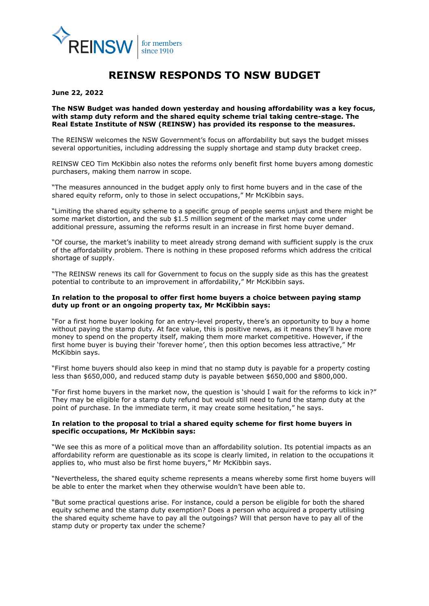

# **REINSW RESPONDS TO NSW BUDGET**

**June 22, 2022**

## **The NSW Budget was handed down yesterday and housing affordability was a key focus, with stamp duty reform and the shared equity scheme trial taking centre-stage. The Real Estate Institute of NSW (REINSW) has provided its response to the measures.**

The REINSW welcomes the NSW Government's focus on affordability but says the budget misses several opportunities, including addressing the supply shortage and stamp duty bracket creep.

REINSW CEO Tim McKibbin also notes the reforms only benefit first home buyers among domestic purchasers, making them narrow in scope.

"The measures announced in the budget apply only to first home buyers and in the case of the shared equity reform, only to those in select occupations," Mr McKibbin says.

"Limiting the shared equity scheme to a specific group of people seems unjust and there might be some market distortion, and the sub \$1.5 million segment of the market may come under additional pressure, assuming the reforms result in an increase in first home buyer demand.

"Of course, the market's inability to meet already strong demand with sufficient supply is the crux of the affordability problem. There is nothing in these proposed reforms which address the critical shortage of supply.

"The REINSW renews its call for Government to focus on the supply side as this has the greatest potential to contribute to an improvement in affordability," Mr McKibbin says.

## **In relation to the proposal to offer first home buyers a choice between paying stamp duty up front or an ongoing property tax, Mr McKibbin says:**

"For a first home buyer looking for an entry-level property, there's an opportunity to buy a home without paying the stamp duty. At face value, this is positive news, as it means they'll have more money to spend on the property itself, making them more market competitive. However, if the first home buyer is buying their 'forever home', then this option becomes less attractive," Mr McKibbin says.

"First home buyers should also keep in mind that no stamp duty is payable for a property costing less than \$650,000, and reduced stamp duty is payable between \$650,000 and \$800,000.

"For first home buyers in the market now, the question is 'should I wait for the reforms to kick in?" They may be eligible for a stamp duty refund but would still need to fund the stamp duty at the point of purchase. In the immediate term, it may create some hesitation," he says.

# **In relation to the proposal to trial a shared equity scheme for first home buyers in specific occupations, Mr McKibbin says:**

"We see this as more of a political move than an affordability solution. Its potential impacts as an affordability reform are questionable as its scope is clearly limited, in relation to the occupations it applies to, who must also be first home buyers," Mr McKibbin says.

"Nevertheless, the shared equity scheme represents a means whereby some first home buyers will be able to enter the market when they otherwise wouldn't have been able to.

"But some practical questions arise. For instance, could a person be eligible for both the shared equity scheme and the stamp duty exemption? Does a person who acquired a property utilising the shared equity scheme have to pay all the outgoings? Will that person have to pay all of the stamp duty or property tax under the scheme?